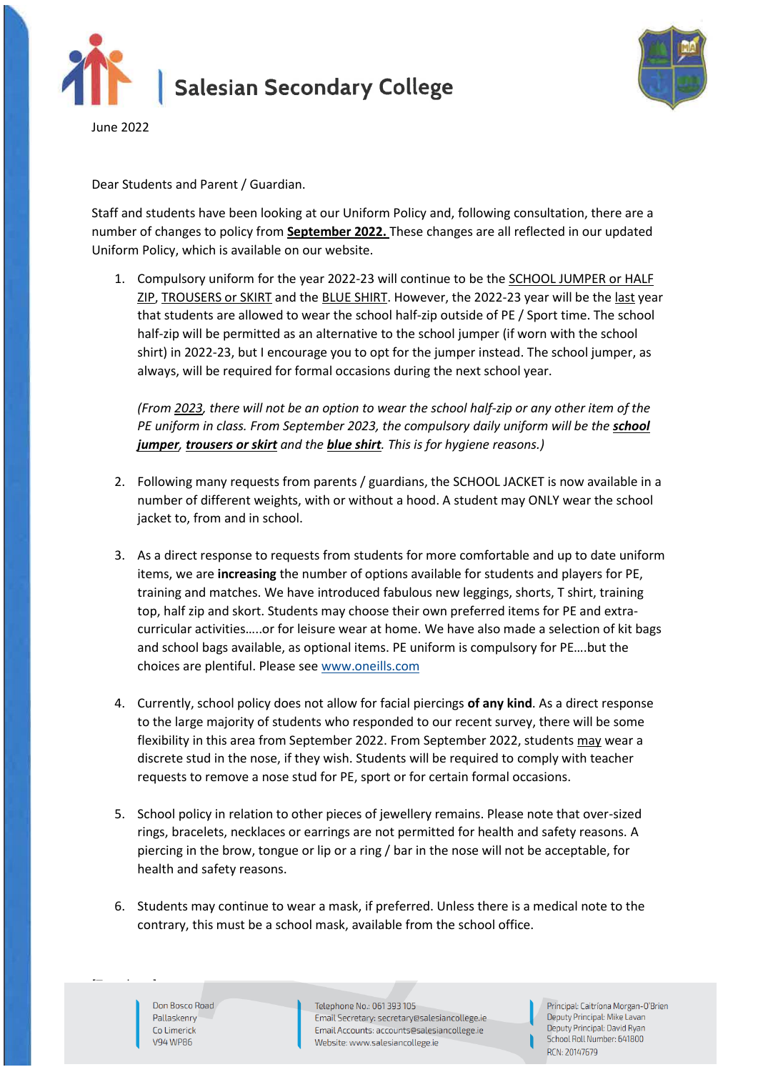



June 2022

Dear Students and Parent / Guardian.

Staff and students have been looking at our Uniform Policy and, following consultation, there are a number of changes to policy from **September 2022.** These changes are all reflected in our updated Uniform Policy, which is available on our website.

1. Compulsory uniform for the year 2022-23 will continue to be the SCHOOL JUMPER or HALF ZIP, TROUSERS or SKIRT and the BLUE SHIRT. However, the 2022-23 year will be the last year that students are allowed to wear the school half-zip outside of PE / Sport time. The school half-zip will be permitted as an alternative to the school jumper (if worn with the school shirt) in 2022-23, but I encourage you to opt for the jumper instead. The school jumper, as always, will be required for formal occasions during the next school year.

*(From 2023, there will not be an option to wear the school half-zip or any other item of the PE uniform in class. From September 2023, the compulsory daily uniform will be the school jumper, trousers or skirt and the blue shirt. This is for hygiene reasons.)*

- 2. Following many requests from parents / guardians, the SCHOOL JACKET is now available in a number of different weights, with or without a hood. A student may ONLY wear the school jacket to, from and in school.
- 3. As a direct response to requests from students for more comfortable and up to date uniform items, we are **increasing** the number of options available for students and players for PE, training and matches. We have introduced fabulous new leggings, shorts, T shirt, training top, half zip and skort. Students may choose their own preferred items for PE and extracurricular activities…..or for leisure wear at home. We have also made a selection of kit bags and school bags available, as optional items. PE uniform is compulsory for PE….but the choices are plentiful. Please see [www.oneills.com](http://www.oneills.com/)
- 4. Currently, school policy does not allow for facial piercings **of any kind**. As a direct response to the large majority of students who responded to our recent survey, there will be some flexibility in this area from September 2022. From September 2022, students may wear a discrete stud in the nose, if they wish. Students will be required to comply with teacher requests to remove a nose stud for PE, sport or for certain formal occasions.
- 5. School policy in relation to other pieces of jewellery remains. Please note that over-sized rings, bracelets, necklaces or earrings are not permitted for health and safety reasons. A piercing in the brow, tongue or lip or a ring / bar in the nose will not be acceptable, for health and safety reasons.
- 6. Students may continue to wear a mask, if preferred. Unless there is a medical note to the contrary, this must be a school mask, available from the school office.

Don Bosco Road Pallaskenry Co Limerick V94 WP86

Telephone No.: 061 393 105 Email Secretary: secretary@salesiancollege.ie Email Accounts: accounts@salesiancollege.je Website: www.salesiancollege.ie

Principal: Caitríona Morgan-O'Brien Deputy Principal: Mike Lavan Deputy Principal: David Ryan School Roll Number: 641800 RCN: 20147679